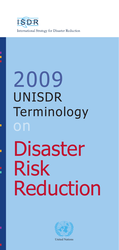

Acceptable risk Adaptation Biological hazard Building code Capacity Capacity Development Climate change Contingency planning Coping capacity Corrective disaster risk management Critical facilities Disaster Disaster risk Disaster risk management

#### Disaster risk reduction Disaster risk reduction plan Early warning system Ecosystem services El Niño-Southern **Oscillation phenomenon 2009** Environmental degradation Environmental **impact assessment Exposure Extendive CONISDR** hazard Greenhouse gases Hazard Hydrometeorological hazard Intensive risk Land-use planning Mitigation **Terminology** Natural hazard Preparedness Prevention Prospective disaster risk management Public awareness Recovery Residual on risk Resilience Response Retrofitting Risk Risk assessment Risk management Risk transfer Socio-natural hazard  $\blacksquare$  incoctor Sustainable development Technological **Pisaster** Adaptation Biological hazard Building code Capacity Capacity Development Climate change Contingency planning Coping capacity Corrective disaster risk management Critical facilities Disaster Disaster Disaster Disaster Disaster Disaster Disaster Disaster Disaste Disaster risk Disaster risk management **BUDARIAM** reduction plan  $\mathbb{E}$ Ecosystem services El Niño-Southern Oscillation phenomenon Emergency Risk Reduction



management Emergency services Environmental degradation Environmental

Extensive risk Forecast Geological

Technological hazard Vulnerability

impact assessment Exposure

Prospective disaster risk management Prospective disaster risk management Prospective disaster risk management P United Nations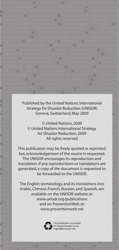Corrective disaster risk management Critical facilities **Disk Published by the United Nations International Published by the United Nations International Public Public** Disaster Reduction (UNISDR) and Strategy for Disaster Reduction (UNISDR) and pla Early Warning Schweizerland, May 2009 The Contract El Territorium Schweizerland, May 2009 The Contract Elizabeth Niño-Southern Oscillation phenomenon Emergency

Building code  $\Box$  Capacity  $\Box$  Capacity Development Climate change  $\square$  Contingency planning  $\square$  Coping capacit  $\blacksquare$  Corrective disaster risk management  $\blacksquare$  Critical facilitie Disaster □ Disaster risk □ Disaster risk management Disaster risk reduction  $\Box$  Disaster risk reduction pla Early warning system **Example Services Ellist Constant** Niño-Southern Oscillation phenomenon **Emergeno** management  $\square$  Emergency services  $\square$  Environment degradation  $\square$  Environmental impact assessment Exposure Extensive risk E Forecast E Geological hazar Greenhouse gases  $\Box$  Hazard  $\Box$  Hydrometeorologic hazard  $\Box$  Intensive risk  $\Box$  Land-use planning  $\Box$  Mitigatic  $\blacksquare$  National platform for disaster risk reduction  $\blacksquare$  Natur hazard **Preparedness Prevention Prospective** disaster risk management  $\Box$  Public awareness  $\Box$  Recover Residual risk  $\blacksquare$  Resilience  $\blacksquare$  Response  $\blacksquare$  Retrofittin Risk **The Risk assessment The Risk manageme**n Risk transfer **Busio-Socio-natural hazard Busion** Structur measures  $\Box$  Non-structural measures  $\Box$  Sustainab development Technological hazard T Vulnerabilit Acceptable risk  $\Box$  Adaptation  $\Box$  Biological hazard Building code **F** Capacity **F** Capacity Development Climate change  $\mathbb{C}$  change  $\mathbb{C}$  planning  $\mathbb{C}$  capacity planning  $\mathbb{C}$ 

emental environmental Constantinoper Emergency services Environmental Emergency services Environmental Emergency  $\alpha$  Environmental impact assessmental input assessment assessment assessment assessment assessment assessment assessment assessment assessment assessment assessment assessment assessment assessment assessment assessment Extensive C United Nations International Strategy<br>
Extensive risk Forecast Geological has response to the case of the case of the case of the case of the case of the case of the case of the case of the case of the case of for Disaster Reduction, 2009 **Figure 19** hazard Intensive Richard Intensive risk Land-use planning Mitigation and Mitigation in the Land-use planning m

National platform for disaster risk reduction Natural

**REPARED PRIS PUBLICATION MAY be freely quoted or reprinted,** disaster risk management of the source is requested.  $R_{\text{max}}$  but acknowledgement of the source is requested. **Risk assessment Risk manager Risk manages its reproduction and The Risk management Risk management Risk management Risk management Risk management Risk management Risk management Risk management Risk management Risk manag Risk translation. If any reproductions or translations are supplied with the structural measures of the structural measures of the structural measures in the structure of the structure of the structure of the structure o**  $\Box$ Non-structural generated, a copy of the document is requested to structure The last the be forwarded to the UNISDR. risk Adaptation Biological hazard Building

code Capacity Capacity Development Climate **Change Contingency Phase Contingency planning capacity in the English terminology, and its translations into Corrective disaster Arabic, Chinese, French, Russian, and Spanish, are** Disaster risk management available on the UNISDR website at: Disaster risk reduction www.unisdr.org/publications and plan plan Early warning system system system system system system services Elizabeth system services Elizabeth system sy Niño-Southern Oscillation phenomenon Emergency www.preventionweb.netmana**gement Emergency services Environmental**ent

degradation Environmental in particular in particular in the second state  $\mathbb R$ 



 $\blacksquare$  Greenhouse gases  $\blacksquare$  and  $\blacksquare$  are the contraction is printed to the contraction of the contraction of the contraction of the contraction of the contraction of the contraction of the contraction of the contract vegetable-based inks

 National platform for disaster risk reduction Natural hazard Preparedness Prevention Prevention Prevention Prevention Prevention Prevention Prevention Prevention Pr disaster risk management Public awareness Recovery Recovery Recovery Recovery Recovery Recovery Recovery Recovery Recovery Recovery Recovery Recovery Recovery Recovery Recovery Recovery Recovery Recovery Recovery Recovery Residual risk **Resilience Response Retrofitting**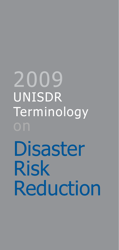# 2009 UNISDR Terminology Disaster Risk Reduction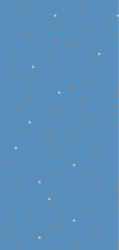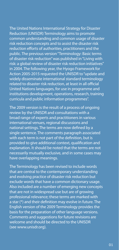The United Nations International Strategy for Disaster Reduction (UNISDR) Terminology aims to promote common understanding and common usage of disaster risk reduction concepts and to assist the disaster risk reduction efforts of authorities, practitioners and the public. The previous version "Terminology: Basic terms of disaster risk reduction" was published in "Living with risk: a global review of disaster risk reduction initiatives" in 2004. The following year, the Hyogo Framework for Action 2005-2015 requested the UNISDR to "update and widely disseminate international standard terminology related to disaster risk reduction, at least in all official United Nations languages, for use in programme and institutions development, operations, research, training curricula and public information programmes".

The 2009 version is the result of a process of ongoing review by the UNISDR and consultations with a broad range of experts and practitioners in various international venues, regional discussions and national settings. The terms are now defined by a single sentence. The comments paragraph associated with each term is not part of the definition, but is provided to give additional context, qualification and explanation. It should be noted that the terms are not necessarily mutually exclusive, and in some cases may have overlapping meanings.

The Terminology has been revised to include words that are central to the contemporary understanding and evolving practice of disaster risk reduction but exclude words that have a common dictionary usage. Also included are a number of emerging new concepts that are not in widespread use but are of growing professional relevance; these terms are marked with a star (\*) and their definition may evolve in future. The English version of the 2009 Terminology provides the basis for the preparation of other language versions. Comments and suggestions for future revisions are welcome and should be directed to the UNISDR (see www.unisdr.org).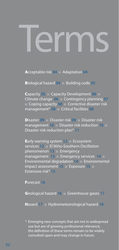# Terms

Acceptable risk  $04 \square$  Adaptation 04

**Biological hazard 04**  $\Box$  Building code 05

Capacity 05  $\square$  Capacity Development 06  $\square$ Climate change  $06$   $\blacksquare$  Contingency planning 07 Coping capacity 08 Corrective disaster risk management\*  $08 \equiv$  Critical facilities  $08$ 

**Disaster 09** Disaster risk 09 Disaster risk management 10 Disaster risk reduction 10  $\blacksquare$ Disaster risk reduction plan\* 11

**Early warning system 12** Ecosystem services 12 El Niño-Southern Oscillation phenomenon 13 Emergency management  $13$  Emergency services  $14$  E Environmental degradation  $14$  Environmental impact assessment  $15$  Exposure  $15$  Exposure Extensive risk\* 15

Forecast 16

Geological hazard  $16$  Greenhouse gases 17

Hazard 17 Hydrometeorological hazard  $18$ 

\* Emerging new concepts that are not in widespread use but are of growing professional relevance; the definition of these terms remain to be widely consulted upon and may change in future.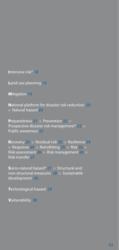```
Intensive risk* 18
```
Land-use planning 19

**Mitigation 19** 

```
National platform for disaster risk reduction 20 
Natural hazard 20
```

```
Preparedness 21 Prevention 22 Preparedness 21 Prevention 22 Prepared Prepared Prepared Prepared Prepared Prepared Prepared Prepared Prepared Prepared Prepared Prepared Prepared Prepared Prepared Prepared Prepared Prepare
Prospective disaster risk management* 22
Public awareness 22
```

```
Recovery 23 Residual risk 23 Resilience 24
Response 24 Retrofitting 25 Risk 25 Risk 25
Risk assessment 26 \blacksquare Risk management 26 \blacksquareRisk transfer 27
```

```
Socio-natural hazard* 27 \blacksquare Structural and
non-structural measures 28 \equiv Sustainable
development 29
```
Technological hazard 29

Vulnerability 30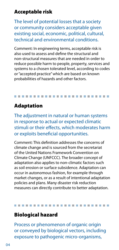# Acceptable risk

The level of potential losses that a society or community considers acceptable given existing social, economic, political, cultural, technical and environmental conditions.

Comment: In engineering terms, acceptable risk is also used to assess and define the structural and non-structural measures that are needed in order to reduce possible harm to people, property, services and systems to a chosen tolerated level, according to codes or "accepted practice" which are based on known probabilities of hazards and other factors.

#### ........................

# Adaptation

The adjustment in natural or human systems in response to actual or expected climatic stimuli or their effects, which moderates harm or exploits beneficial opportunities.

Comment: This definition addresses the concerns of climate change and is sourced from the secretariat of the United Nations Framework Convention on Climate Change (UNFCCC). The broader concept of adaptation also applies to non-climatic factors such as soil erosion or surface subsidence. Adaptation can occur in autonomous fashion, for example through market changes, or as a result of intentional adaptation policies and plans. Many disaster risk reduction measures can directly contribute to better adaptation.

#### 

#### Biological hazard

Process or phenomenon of organic origin or conveyed by biological vectors, including exposure to pathogenic micro-organisms,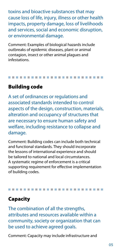toxins and bioactive substances that may cause loss of life, injury, illness or other health impacts, property damage, loss of livelihoods and services, social and economic disruption, or environmental damage.

Comment: Examples of biological hazards include outbreaks of epidemic diseases, plant or animal contagion, insect or other animal plagues and infestations.

#### ---------**The Common** --------. . **Contract Contract**

#### Building code

A set of ordinances or regulations and associated standards intended to control aspects of the design, construction, materials, alteration and occupancy of structures that are necessary to ensure human safety and welfare, including resistance to collapse and damage.

Comment: Building codes can include both technical and functional standards. They should incorporate the lessons of international experience and should be tailored to national and local circumstances. A systematic regime of enforcement is a critical supporting requirement for effective implementation of building codes.

#### -----------------. . . . .

# Capacity

The combination of all the strengths, attributes and resources available within a community, society or organization that can be used to achieve agreed goals.

Comment: Capacity may include infrastructure and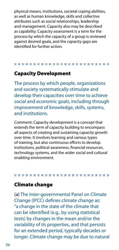physical means, institutions, societal coping abilities, as well as human knowledge, skills and collective attributes such as social relationships, leadership and management. Capacity also may be described as capability. Capacity assessment is a term for the process by which the capacity of a group is reviewed against desired goals, and the capacity gaps are identified for further action.

#### a di serie della **The Contract**

#### Capacity Development

The process by which people, organizations and society systematically stimulate and develop their capacities over time to achieve social and economic goals, including through improvement of knowledge, skills, systems, and institutions.

Comment: Capacity development is a concept that extends the term of capacity building to encompass all aspects of creating and sustaining capacity growth over time. It involves learning and various types of training, but also continuous efforts to develop institutions, political awareness, financial resources, technology systems, and the wider social and cultural enabling environment.

#### -------------------------

#### Climate change

(a) The Inter-governmental Panel on Climate Change (IPCC) defines climate change as: "a change in the state of the climate that can be identified (e.g., by using statistical tests) by changes in the mean and/or the variability of its properties, and that persists for an extended period, typically decades or longer. Climate change may be due to natural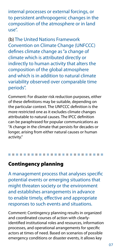internal processes or external forcings, or to persistent anthropogenic changes in the composition of the atmosphere or in land use".

(b) The United Nations Framework Convention on Climate Change (UNFCCC) defines climate change as "a change of climate which is attributed directly or indirectly to human activity that alters the composition of the global atmosphere and which is in addition to natural climate variability observed over comparable time periods".

Comment: For disaster risk reduction purposes, either of these definitions may be suitable, depending on the particular context. The UNFCCC definition is the more restricted one as it excludes climate changes attributable to natural causes. The IPCC definition can be paraphrased for popular communications as "A change in the climate that persists for decades or longer, arising from either natural causes or human activity."

#### **CONTRACTOR** ------------

#### Contingency planning

A management process that analyses specific potential events or emerging situations that might threaten society or the environment and establishes arrangements in advance to enable timely, effective and appropriate responses to such events and situations.

Comment: Contingency planning results in organized and coordinated courses of action with clearlyidentified institutional roles and resources, information processes, and operational arrangements for specific actors at times of need. Based on scenarios of possible emergency conditions or disaster events, it allows key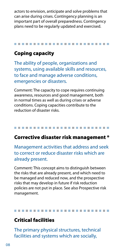actors to envision, anticipate and solve problems that can arise during crises. Contingency planning is an important part of overall preparedness. Contingency plans need to be regularly updated and exercised.

#### -------------**The State**

# Coping capacity

The ability of people, organizations and systems, using available skills and resources, to face and manage adverse conditions, emergencies or disasters.

Comment: The capacity to cope requires continuing awareness, resources and good management, both in normal times as well as during crises or adverse conditions. Coping capacities contribute to the reduction of disaster risks.

#### ------------------------

#### Corrective disaster risk management \*

Management activities that address and seek to correct or reduce disaster risks which are already present.

Comment: This concept aims to distinguish between the risks that are already present, and which need to be managed and reduced now, and the prospective risks that may develop in future if risk reduction policies are not put in place. See also Prospective risk management.

# Critical facilities

The primary physical structures, technical facilities and systems which are socially,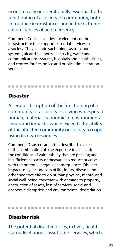economically or operationally essential to the functioning of a society or community, both in routine circumstances and in the extreme circumstances of an emergency.

Comment: Critical facilities are elements of the infrastructure that support essential services in a society. They include such things as transport systems, air and sea ports, electricity, water and communications systems, hospitals and health clinics, and centres for fire, police and public administration services.

#### ........................

#### **Disaster**

A serious disruption of the functioning of a community or a society involving widespread human, material, economic or environmental losses and impacts, which exceeds the ability of the affected community or society to cope using its own resources.

Comment: Disasters are often described as a result of the combination of: the exposure to a hazard; the conditions of vulnerability that are present; and insufficient capacity or measures to reduce or cope with the potential negative consequences. Disaster impacts may include loss of life, injury, disease and other negative effects on human physical, mental and social well-being, together with damage to property, destruction of assets, loss of services, social and economic disruption and environmental degradation.

#### **COLOR** . . . . .

## Disaster risk

The potential disaster losses, in lives, health status, livelihoods, assets and services, which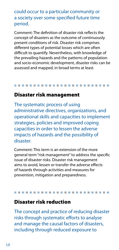#### could occur to a particular community or a society over some specified future time period.

Comment: The definition of disaster risk reflects the concept of disasters as the outcome of continuously present conditions of risk. Disaster risk comprises different types of potential losses which are often difficult to quantify. Nevertheless, with knowledge of the prevailing hazards and the patterns of population and socio-economic development, disaster risks can be assessed and mapped, in broad terms at least.

#### 

#### Disaster risk management

The systematic process of using administrative directives, organizations, and operational skills and capacities to implement strategies, policies and improved coping capacities in order to lessen the adverse impacts of hazards and the possibility of disaster.

Comment: This term is an extension of the more general term "risk management" to address the specific issue of disaster risks. Disaster risk management aims to avoid, lessen or transfer the adverse effects of hazards through activities and measures for prevention, mitigation and preparedness.

#### Disaster risk reduction

................

The concept and practice of reducing disaster risks through systematic efforts to analyse and manage the causal factors of disasters, including through reduced exposure to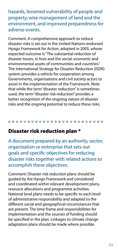hazards, lessened vulnerability of people and property, wise management of land and the environment, and improved preparedness for adverse events.

Comment: A comprehensive approach to reduce disaster risks is set out in the United Nations-endorsed Hyogo Framework for Action, adopted in 2005, whose expected outcome is "The substantial reduction of disaster losses, in lives and the social, economic and environmental assets of communities and countries." The International Strategy for Disaster Reduction (ISDR) system provides a vehicle for cooperation among Governments, organisations and civil society actors to assist in the implementation of the Framework. Note that while the term "disaster reduction" is sometimes used, the term "disaster risk reduction" provides a better recognition of the ongoing nature of disaster risks and the ongoing potential to reduce these risks.

#### ............... ..........

# Disaster risk reduction plan \*

A document prepared by an authority, sector, organization or enterprise that sets out goals and specific objectives for reducing disaster risks together with related actions to accomplish these objectives.

Comment: Disaster risk reduction plans should be guided by the Hyogo Framework and considered and coordinated within relevant development plans, resource allocations and programme activities. National level plans needs to be specific to each level of administrative responsibility and adapted to the different social and geographical circumstances that are present. The time frame and responsibilities for implementation and the sources of funding should be specified in the plan. Linkages to climate change adaptation plans should be made where possible.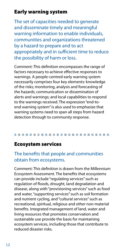# Early warning system

The set of capacities needed to generate and disseminate timely and meaningful warning information to enable individuals, communities and organizations threatened by a hazard to prepare and to act appropriately and in sufficient time to reduce the possibility of harm or loss.

Comment: This definition encompasses the range of factors necessary to achieve effective responses to warnings. A people-centred early warning system necessarily comprises four key elements: knowledge of the risks; monitoring, analysis and forecasting of the hazards; communication or dissemination of alerts and warnings; and local capabilities to respond to the warnings received. The expression "end-toend warning system" is also used to emphasize that warning systems need to span all steps from hazard detection through to community response.

#### -------------------

#### Ecosystem services

#### The benefits that people and communities obtain from ecosystems.

Comment: This definition is drawn from the Millennium Ecosystem Assessment. The benefits that ecosystems can provide include "regulating services" such as regulation of floods, drought, land degradation and disease, along with "provisioning services" such as food and water, "supporting services" such as soil formation and nutrient cycling, and "cultural services" such as recreational, spiritual, religious and other non-material benefits. Integrated management of land, water and living resources that promotes conservation and sustainable use provide the basis for maintaining ecosystem services, including those that contribute to reduced disaster risks.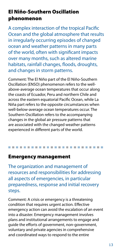# El Niño-Southern Oscillation phenomenon

A complex interaction of the tropical Pacific Ocean and the global atmosphere that results in irregularly occurring episodes of changed ocean and weather patterns in many parts of the world, often with significant impacts over many months, such as altered marine habitats, rainfall changes, floods, droughts, and changes in storm patterns.

Comment: The El Niño part of the El Niño-Southern Oscillation (ENSO) phenomenon refers to the wellabove-average ocean temperatures that occur along the coasts of Ecuador, Peru and northern Chile and across the eastern equatorial Pacific Ocean, while La Niña part refers to the opposite circumstances when well-below-average ocean temperatures occur. The Southern Oscillation refers to the accompanying changes in the global air pressure patterns that are associated with the changed weather patterns experienced in different parts of the world.

#### Emergency management

*<u>BAR BAR</u>* 

. . . . . . . .

The organization and management of resources and responsibilities for addressing all aspects of emergencies, in particular preparedness, response and initial recovery steps.

------------

Comment: A crisis or emergency is a threatening condition that requires urgent action. Effective emergency action can avoid the escalation of an event into a disaster. Emergency management involves plans and institutional arrangements to engage and guide the efforts of government, non-government, voluntary and private agencies in comprehensive and coordinated ways to respond to the entire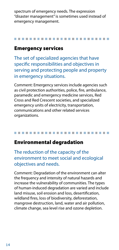spectrum of emergency needs. The expression "disaster management" is sometimes used instead of emergency management.

#### -------------------------

#### Emergency services

The set of specialized agencies that have specific responsibilities and objectives in serving and protecting people and property in emergency situations.

Comment: Emergency services include agencies such as civil protection authorities, police, fire, ambulance, paramedic and emergency medicine services, Red Cross and Red Crescent societies, and specialized emergency units of electricity, transportation, communications and other related services organizations.

------------------------

#### Environmental degradation

The reduction of the capacity of the environment to meet social and ecological objectives and needs.

Comment: Degradation of the environment can alter the frequency and intensity of natural hazards and increase the vulnerability of communities. The types of human-induced degradation are varied and include land misuse, soil erosion and loss, desertification, wildland fires, loss of biodiversity, deforestation, mangrove destruction, land, water and air pollution, climate change, sea level rise and ozone depletion.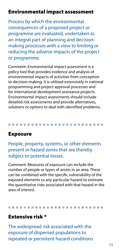# Environmental impact assessment

Process by which the environmental consequences of a proposed project or programme are evaluated, undertaken as an integral part of planning and decisionmaking processes with a view to limiting or reducing the adverse impacts of the project or programme.

Comment: Environmental impact assessment is a policy tool that provides evidence and analysis of environmental impacts of activities from conception to decision-making. It is utilized extensively in national programming and project approval processes and for international development assistance projects. Environmental impact assessments should include detailed risk assessments and provide alternatives, solutions or options to deal with identified problems.

#### -------------------------

#### Exposure

People, property, systems, or other elements present in hazard zones that are thereby subject to potential losses.

Comment: Measures of exposure can include the number of people or types of assets in an area. These can be combined with the specific vulnerability of the exposed elements to any particular hazard to estimate the quantitative risks associated with that hazard in the area of interest.

#### **TIME** ---------**T**

#### Extensive risk \*

The widespread risk associated with the exposure of dispersed populations to repeated or persistent hazard conditions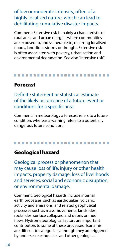of low or moderate intensity, often of a highly localized nature, which can lead to debilitating cumulative disaster impacts.

Comment: Extensive risk is mainly a characteristic of rural areas and urban margins where communities are exposed to, and vulnerable to, recurring localised floods, landslides storms or drought. Extensive risk is often associated with poverty, urbanization and environmental degradation. See also "Intensive risk".

#### -------------------

#### Forecast

Definite statement or statistical estimate of the likely occurrence of a future event or conditions for a specific area.

Comment: In meteorology a forecast refers to a future condition, whereas a warning refers to a potentially dangerous future condition.

-------------------------

#### Geological hazard

Geological process or phenomenon that may cause loss of life, injury or other health impacts, property damage, loss of livelihoods and services, social and economic disruption, or environmental damage.

Comment: Geological hazards include internal earth processes, such as earthquakes, volcanic activity and emissions, and related geophysical processes such as mass movements, landslides, rockslides, surface collapses, and debris or mud flows. Hydrometeorological factors are important contributors to some of these processes. Tsunamis are difficult to categorize; although they are triggered by undersea earthquakes and other geological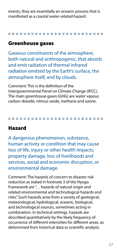events, they are essentially an oceanic process that is manifested as a coastal water-related hazard.

-------------------------

#### Greenhouse gases

Gaseous constituents of the atmosphere, both natural and anthropogenic, that absorb and emit radiation of thermal infrared radiation emitted by the Earth's surface, the atmosphere itself, and by clouds.

Comment: This is the definition of the Intergovernmental Panel on Climate Change (IPCC). The main greenhouse gases (GHG) are water vapour, carbon dioxide, nitrous oxide, methane and ozone.

#### ........................

#### Hazard

A dangerous phenomenon, substance, human activity or condition that may cause loss of life, injury or other health impacts, property damage, loss of livelihoods and services, social and economic disruption, or environmental damage.

Comment: The hazards of concern to disaster risk reduction as stated in footnote 3 of the Hyogo Framework are "… hazards of natural origin and related environmental and technological hazards and risks." Such hazards arise from a variety of geological, meteorological, hydrological, oceanic, biological, and technological sources, sometimes acting in combination. In technical settings, hazards are described quantitatively by the likely frequency of occurrence of different intensities for different areas, as determined from historical data or scientific analysis.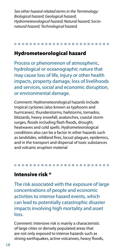*See other hazard-related terms in the Terminology: Biological hazard; Geological hazard; Hydrometeorological hazard; Natural hazard; Socionatural hazard; Technological hazard.*

#### -------. . **The State**

## Hydrometeorological hazard

Process or phenomenon of atmospheric, hydrological or oceanographic nature that may cause loss of life, injury or other health impacts, property damage, loss of livelihoods and services, social and economic disruption, or environmental damage.

Comment: Hydrometeorological hazards include tropical cyclones (also known as typhoons and hurricanes), thunderstorms, hailstorms, tornados, blizzards, heavy snowfall, avalanches, coastal storm surges, floods including flash floods, drought, heatwaves and cold spells. Hydrometeorological conditions also can be a factor in other hazards such as landslides, wildland fires, locust plagues, epidemics, and in the transport and dispersal of toxic substances and volcanic eruption material

#### ........................

#### Intensive risk \*

The risk associated with the exposure of large concentrations of people and economic activities to intense hazard events, which can lead to potentially catastrophic disaster impacts involving high mortality and asset loss.

Comment: Intensive risk is mainly a characteristic of large cities or densely populated areas that are not only exposed to intense hazards such as strong earthquakes, active volcanoes, heavy floods,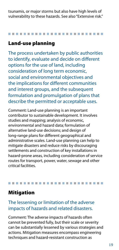tsunamis, or major storms but also have high levels of vulnerability to these hazards. See also "Extensive risk."

#### ----------------. . . . . . .  $\sim$

#### Land-use planning

The process undertaken by public authorities to identify, evaluate and decide on different options for the use of land, including consideration of long term economic, social and environmental objectives and the implications for different communities and interest groups, and the subsequent formulation and promulgation of plans that describe the permitted or acceptable uses.

Comment: Land-use planning is an important contributor to sustainable development. It involves studies and mapping; analysis of economic, environmental and hazard data; formulation of alternative land-use decisions; and design of long-range plans for different geographical and administrative scales. Land-use planning can help to mitigate disasters and reduce risks by discouraging settlements and construction of key installations in hazard-prone areas, including consideration of service routes for transport, power, water, sewage and other critical facilities.

#### ,,,,,,,,,,,,,,,,,,,,,,,,,

## Mitigation

#### The lessening or limitation of the adverse impacts of hazards and related disasters.

Comment: The adverse impacts of hazards often cannot be prevented fully, but their scale or severity can be substantially lessened by various strategies and actions. Mitigation measures encompass engineering techniques and hazard-resistant construction as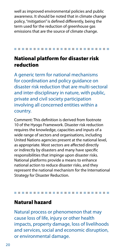well as improved environmental policies and public awareness. It should be noted that in climate change policy, "mitigation" is defined differently, being the term used for the reduction of greenhouse gas emissions that are the source of climate change.

# National platform for disaster risk reduction

A generic term for national mechanisms for coordination and policy guidance on disaster risk reduction that are multi-sectoral and inter-disciplinary in nature, with public, private and civil society participation involving all concerned entities within a country.

Comment: This definition is derived from footnote 10 of the Hyogo Framework. Disaster risk reduction requires the knowledge, capacities and inputs of a wide range of sectors and organisations, including United Nations agencies present at the national level, as appropriate. Most sectors are affected directly or indirectly by disasters and many have specific responsibilities that impinge upon disaster risks. National platforms provide a means to enhance national action to reduce disaster risks, and they represent the national mechanism for the International Strategy for Disaster Reduction.

#### Natural hazard

Natural process or phenomenon that may cause loss of life, injury or other health impacts, property damage, loss of livelihoods and services, social and economic disruption, or environmental damage.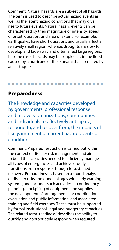Comment: Natural hazards are a sub-set of all hazards. The term is used to describe actual hazard events as well as the latent hazard conditions that may give rise to future events. Natural hazard events can be characterized by their magnitude or intensity, speed of onset, duration, and area of extent. For example, earthquakes have short durations and usually affect a relatively small region, whereas droughts are slow to develop and fade away and often affect large regions. In some cases hazards may be coupled, as in the flood caused by a hurricane or the tsunami that is created by an earthquake.

#### -----------------------

#### Preparedness

The knowledge and capacities developed by governments, professional response and recovery organizations, communities and individuals to effectively anticipate, respond to, and recover from, the impacts of likely, imminent or current hazard events or conditions.

Comment: Preparedness action is carried out within the context of disaster risk management and aims to build the capacities needed to efficiently manage all types of emergencies and achieve orderly transitions from response through to sustained recovery. Preparedness is based on a sound analysis of disaster risks and good linkages with early warning systems, and includes such activities as contingency planning, stockpiling of equipment and supplies, the development of arrangements for coordination, evacuation and public information, and associated training and field exercises. These must be supported by formal institutional, legal and budgetary capacities. The related term "readiness" describes the ability to quickly and appropriately respond when required.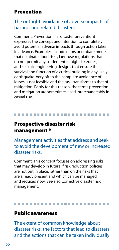#### **Prevention**

#### The outright avoidance of adverse impacts of hazards and related disasters.

Comment: Prevention (i.e. disaster prevention) expresses the concept and intention to completely avoid potential adverse impacts through action taken in advance. Examples include dams or embankments that eliminate flood risks, land-use regulations that do not permit any settlement in high risk zones, and seismic engineering designs that ensure the survival and function of a critical building in any likely earthquake. Very often the complete avoidance of losses is not feasible and the task transforms to that of mitigation. Partly for this reason, the terms prevention and mitigation are sometimes used interchangeably in casual use.

#### ....................

## Prospective disaster risk management \*

Management activities that address and seek to avoid the development of new or increased disaster risks.

Comment: This concept focuses on addressing risks that may develop in future if risk reduction policies are not put in place, rather than on the risks that are already present and which can be managed and reduced now. See also Corrective disaster risk management.

#### .........................

#### Public awareness

The extent of common knowledge about disaster risks, the factors that lead to disasters and the actions that can be taken individually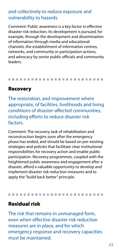#### and collectively to reduce exposure and vulnerability to hazards.

Comment: Public awareness is a key factor in effective disaster risk reduction. Its development is pursued, for example, through the development and dissemination of information through media and educational channels, the establishment of information centres, networks, and community or participation actions, and advocacy by senior public officials and community leaders.

#### ------------------------

# Recovery

The restoration, and improvement where appropriate, of facilities, livelihoods and living conditions of disaster-affected communities, including efforts to reduce disaster risk factors.

Comment: The recovery task of rehabilitation and reconstruction begins soon after the emergency phase has ended, and should be based on pre-existing strategies and policies that facilitate clear institutional responsibilities for recovery action and enable public participation. Recovery programmes, coupled with the heightened public awareness and engagement after a disaster, afford a valuable opportunity to develop and implement disaster risk reduction measures and to apply the "build back better" principle.

#### . . . . **The State** ---------

# Residual risk

The risk that remains in unmanaged form, even when effective disaster risk reduction measures are in place, and for which emergency response and recovery capacities must be maintained.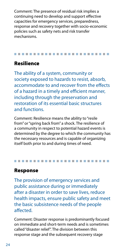Comment: The presence of residual risk implies a continuing need to develop and support effective capacities for emergency services, preparedness, response and recovery together with socio-economic policies such as safety nets and risk transfer mechanisms.

#### -------------------------

# Resilience

The ability of a system, community or society exposed to hazards to resist, absorb, accommodate to and recover from the effects of a hazard in a timely and efficient manner, including through the preservation and restoration of its essential basic structures and functions.

Comment: Resilience means the ability to "resile from" or "spring back from" a shock. The resilience of a community in respect to potential hazard events is determined by the degree to which the community has the necessary resources and is capable of organizing itself both prior to and during times of need.

#### . . . . . . . . .............

#### Response

The provision of emergency services and public assistance during or immediately after a disaster in order to save lives, reduce health impacts, ensure public safety and meet the basic subsistence needs of the people affected.

Comment: Disaster response is predominantly focused on immediate and short-term needs and is sometimes called "disaster relief". The division between this response stage and the subsequent recovery stage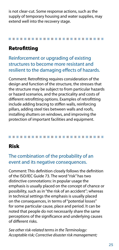is not clear-cut. Some response actions, such as the supply of temporary housing and water supplies, may extend well into the recovery stage.

#### ........................

#### **Retrofitting**

Reinforcement or upgrading of existing structures to become more resistant and resilient to the damaging effects of hazards.

Comment: Retrofitting requires consideration of the design and function of the structure, the stresses that the structure may be subject to from particular hazards or hazard scenarios, and the practicality and costs of different retrofitting options. Examples of retrofitting include adding bracing to stiffen walls, reinforcing pillars, adding steel ties between walls and roofs, installing shutters on windows, and improving the protection of important facilities and equipment.

#### .........................

# Risk

#### The combination of the probability of an event and its negative consequences.

Comment: This definition closely follows the definition of the ISO/IEC Guide 73. The word "risk" has two distinctive connotations: in popular usage the emphasis is usually placed on the concept of chance or possibility, such as in "the risk of an accident"; whereas in technical settings the emphasis is usually placed on the consequences, in terms of "potential losses" for some particular cause, place and period. It can be noted that people do not necessarily share the same perceptions of the significance and underlying causes of different risks.

*See other risk-related terms in the Terminology: Acceptable risk; Corrective disaster risk management;*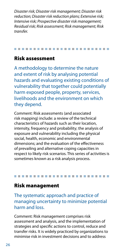*Disaster risk; Disaster risk management; Disaster risk reduction; Disaster risk reduction plans; Extensive risk; Intensive risk; Prospective disaster risk management; Residual risk; Risk assessment; Risk management; Risk transfer.*

#### . . .

#### Risk assessment

A methodology to determine the nature and extent of risk by analysing potential hazards and evaluating existing conditions of vulnerability that together could potentially harm exposed people, property, services, livelihoods and the environment on which they depend.

Comment: Risk assessments (and associated risk mapping) include: a review of the technical characteristics of hazards such as their location, intensity, frequency and probability; the analysis of exposure and vulnerability including the physical social, health, economic and environmental dimensions; and the evaluation of the effectiveness of prevailing and alternative coping capacities in respect to likely risk scenarios. This series of activities is sometimes known as a risk analysis process.

#### . . . . . . . . . . . . . -------

#### Risk management

The systematic approach and practice of managing uncertainty to minimize potential harm and loss.

Comment: Risk management comprises risk assessment and analysis, and the implementation of strategies and specific actions to control, reduce and transfer risks. It is widely practiced by organizations to minimise risk in investment decisions and to address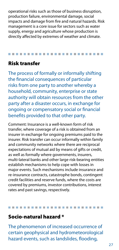operational risks such as those of business disruption, production failure, environmental damage, social impacts and damage from fire and natural hazards. Risk management is a core issue for sectors such as water supply, energy and agriculture whose production is directly affected by extremes of weather and climate.

#### -------------------------

# Risk transfer

The process of formally or informally shifting the financial consequences of particular risks from one party to another whereby a household, community, enterprise or state authority will obtain resources from the other party after a disaster occurs, in exchange for ongoing or compensatory social or financial benefits provided to that other party.

Comment: Insurance is a well-known form of risk transfer, where coverage of a risk is obtained from an insurer in exchange for ongoing premiums paid to the insurer. Risk transfer can occur informally within family and community networks where there are reciprocal expectations of mutual aid by means of gifts or credit, as well as formally where governments, insurers, multi-lateral banks and other large risk-bearing entities establish mechanisms to help cope with losses in major events. Such mechanisms include insurance and re-insurance contracts, catastrophe bonds, contingent credit facilities and reserve funds, where the costs are covered by premiums, investor contributions, interest rates and past savings, respectively.

#### --------. . . .

## Socio-natural hazard \*

The phenomenon of increased occurrence of certain geophysical and hydrometeorological hazard events, such as landslides, flooding,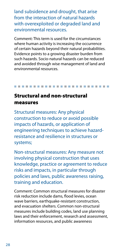land subsidence and drought, that arise from the interaction of natural hazards with overexploited or degraded land and environmental resources.

Comment: This term is used for the circumstances where human activity is increasing the occurrence of certain hazards beyond their natural probabilities. Evidence points to a growing disaster burden from such hazards. Socio-natural hazards can be reduced and avoided through wise management of land and environmental resources.

#### ........................

### Structural and non-structural measures

Structural measures: Any physical construction to reduce or avoid possible impacts of hazards, or application of engineering techniques to achieve hazardresistance and resilience in structures or systems;

Non-structural measures: Any measure not involving physical construction that uses knowledge, practice or agreement to reduce risks and impacts, in particular through policies and laws, public awareness raising, training and education.

Comment: Common structural measures for disaster risk reduction include dams, flood levies, ocean wave barriers, earthquake-resistant construction, and evacuation shelters. Common non-structural measures include building codes, land use planning laws and their enforcement, research and assessment, information resources, and public awareness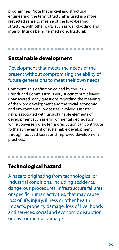programmes. Note that in civil and structural engineering, the term "structural" is used in a more restricted sense to mean just the load-bearing structure, with other parts such as wall cladding and interior fittings being termed non-structural.

#### **COL The State**

# Sustainable development

Development that meets the needs of the present without compromising the ability of future generations to meet their own needs.

Comment: This definition coined by the 1987 Brundtland Commission is very succinct but it leaves unanswered many questions regarding the meaning of the word development and the social, economic and environmental processes involved. Disaster risk is associated with unsustainable elements of development such as environmental degradation, while conversely disaster risk reduction can contribute to the achievement of sustainable development, through reduced losses and improved development practices.

#### ------------------------

#### Technological hazard

A hazard originating from technological or industrial conditions, including accidents, dangerous procedures, infrastructure failures or specific human activities, that may cause loss of life, injury, illness or other health impacts, property damage, loss of livelihoods and services, social and economic disruption, or environmental damage.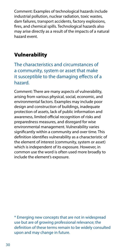Comment: Examples of technological hazards include industrial pollution, nuclear radiation, toxic wastes, dam failures, transport accidents, factory explosions, fires, and chemical spills. Technological hazards also may arise directly as a result of the impacts of a natural hazard event.

# Vulnerability

The characteristics and circumstances of a community, system or asset that make it susceptible to the damaging effects of a hazard.

Comment: There are many aspects of vulnerability, arising from various physical, social, economic, and environmental factors. Examples may include poor design and construction of buildings, inadequate protection of assets, lack of public information and awareness, limited official recognition of risks and preparedness measures, and disregard for wise environmental management. Vulnerability varies significantly within a community and over time. This definition identifies vulnerability as a characteristic of the element of interest (community, system or asset) which is independent of its exposure. However, in common use the word is often used more broadly to include the element's exposure.

\* Emerging new concepts that are not in widespread use but are of growing professional relevance; the definition of these terms remain to be widely consulted upon and may change in future.